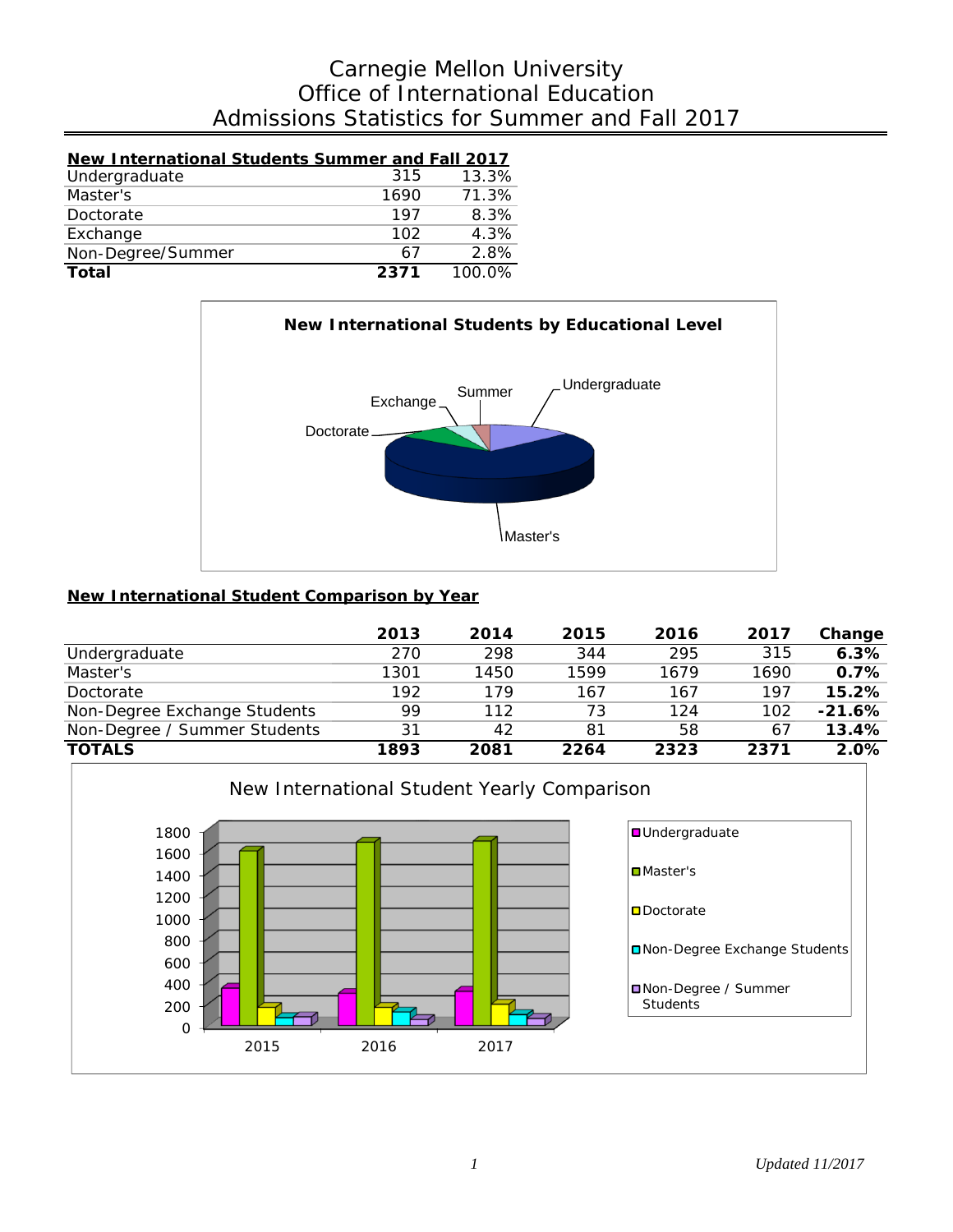# Admissions Statistics for Summer and Fall 2017 Office of International Education Carnegie Mellon University

| <b>New International Students Summer and Fall 2017</b> |      |        |
|--------------------------------------------------------|------|--------|
| Undergraduate                                          | 315  | 13.3%  |
| Master's                                               | 1690 | 71.3%  |
| Doctorate                                              | 197  | 8.3%   |
| Exchange                                               | 102  | 4.3%   |
| Non-Degree/Summer                                      | 67   | 2.8%   |
| <b>Total</b>                                           | 2371 | 100.0% |



### **New International Student Comparison by Year**

|                              | 2013 | 2014 | 2015 | 2016 | 2017 | Change   |
|------------------------------|------|------|------|------|------|----------|
| Undergraduate                | 270  | 298  | 344  | 295  | 315  | 6.3%     |
| Master's                     | 1301 | 1450 | 1599 | 1679 | 1690 | 0.7%     |
| Doctorate                    | 192  | 179  | 167  | 167  | 197  | 15.2%    |
| Non-Degree Exchange Students | 99   | 112  | 73   | 124  | 102  | $-21.6%$ |
| Non-Degree / Summer Students | 31   | 42   | 81   | 58   | 67   | 13.4%    |
| <b>TOTALS</b>                | 1893 | 2081 | 2264 | 2323 | 2371 | 2.0%     |

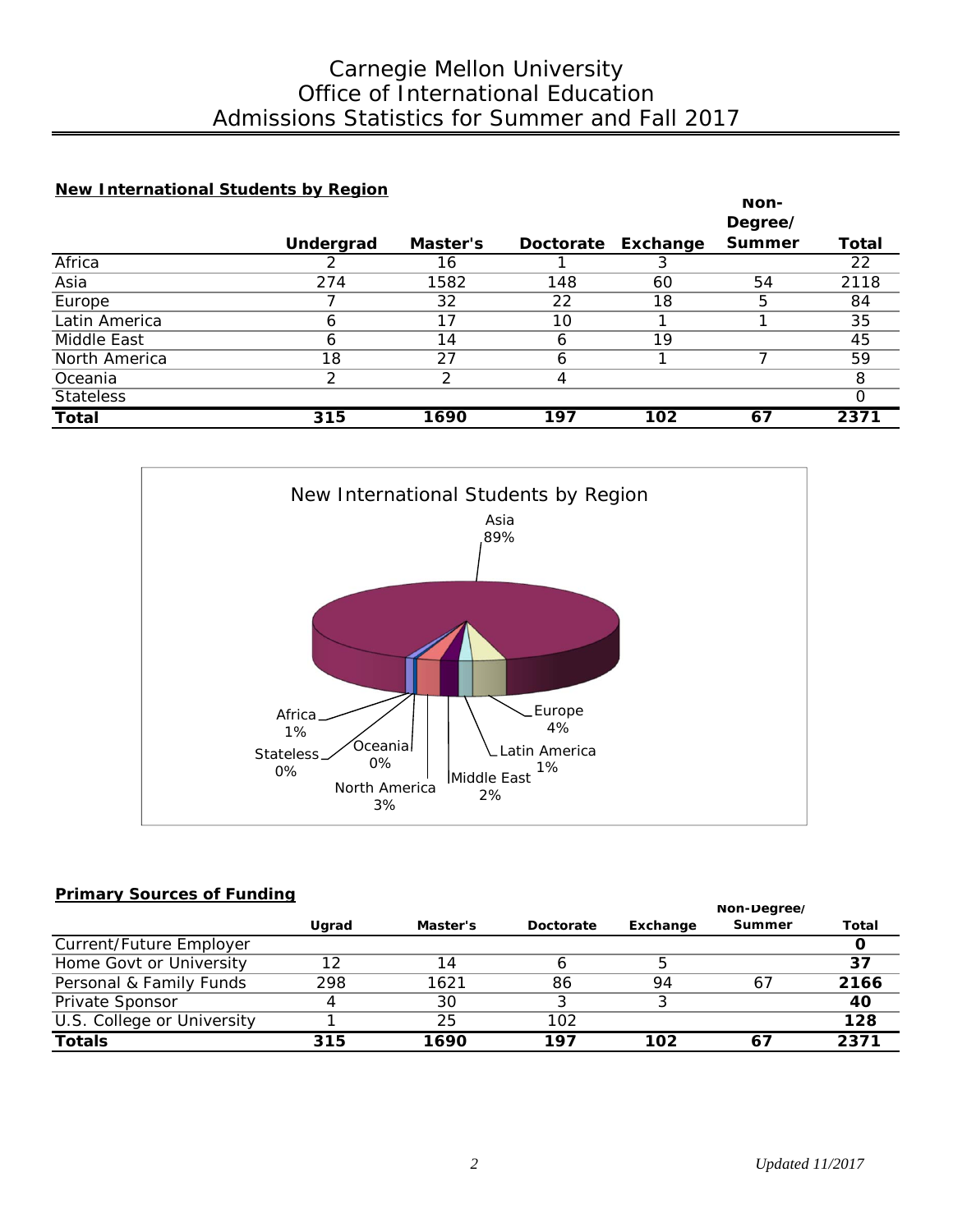## Admissions Statistics for Summer and Fall 2017 Office of International Education Carnegie Mellon University

#### **New International Students by Region**

|                  |           |          |     |                    | Non-          |              |
|------------------|-----------|----------|-----|--------------------|---------------|--------------|
|                  |           |          |     |                    | Degree/       |              |
|                  | Undergrad | Master's |     | Doctorate Exchange | <b>Summer</b> | <b>Total</b> |
| Africa           |           | 16       |     |                    |               | 22           |
| Asia             | 274       | 1582     | 148 | 60                 | 54            | 2118         |
| Europe           |           | 32       | 22  | 18                 | 5             | 84           |
| Latin America    | 6         | 17       | 10  |                    |               | 35           |
| Middle East      | Ô         | 14       | 6   | 19                 |               | 45           |
| North America    | 18        | 27       | 6   |                    |               | 59           |
| Oceania          | っ         | ⌒        |     |                    |               | 8            |
| <b>Stateless</b> |           |          |     |                    |               |              |
| <b>Total</b>     | 315       | 1690     | 197 | 102                | 67            | 2371         |



#### **Primary Sources of Funding**

|                            |       |          |           |          | Non-Degree/ |       |
|----------------------------|-------|----------|-----------|----------|-------------|-------|
|                            | Ugrad | Master's | Doctorate | Exchange | Summer      | Total |
| Current/Future Employer    |       |          |           |          |             |       |
| Home Govt or University    | 12    | 14       |           |          |             | 37    |
| Personal & Family Funds    | 298   | 1621     | 86        | 94       | 67          | 2166  |
| Private Sponsor            | 4     | 30       |           |          |             | 40    |
| U.S. College or University |       | 25       | 102       |          |             | 128   |
| <b>Totals</b>              | 315   | 1690     | 197       | 102      | $6^{\circ}$ | 2371  |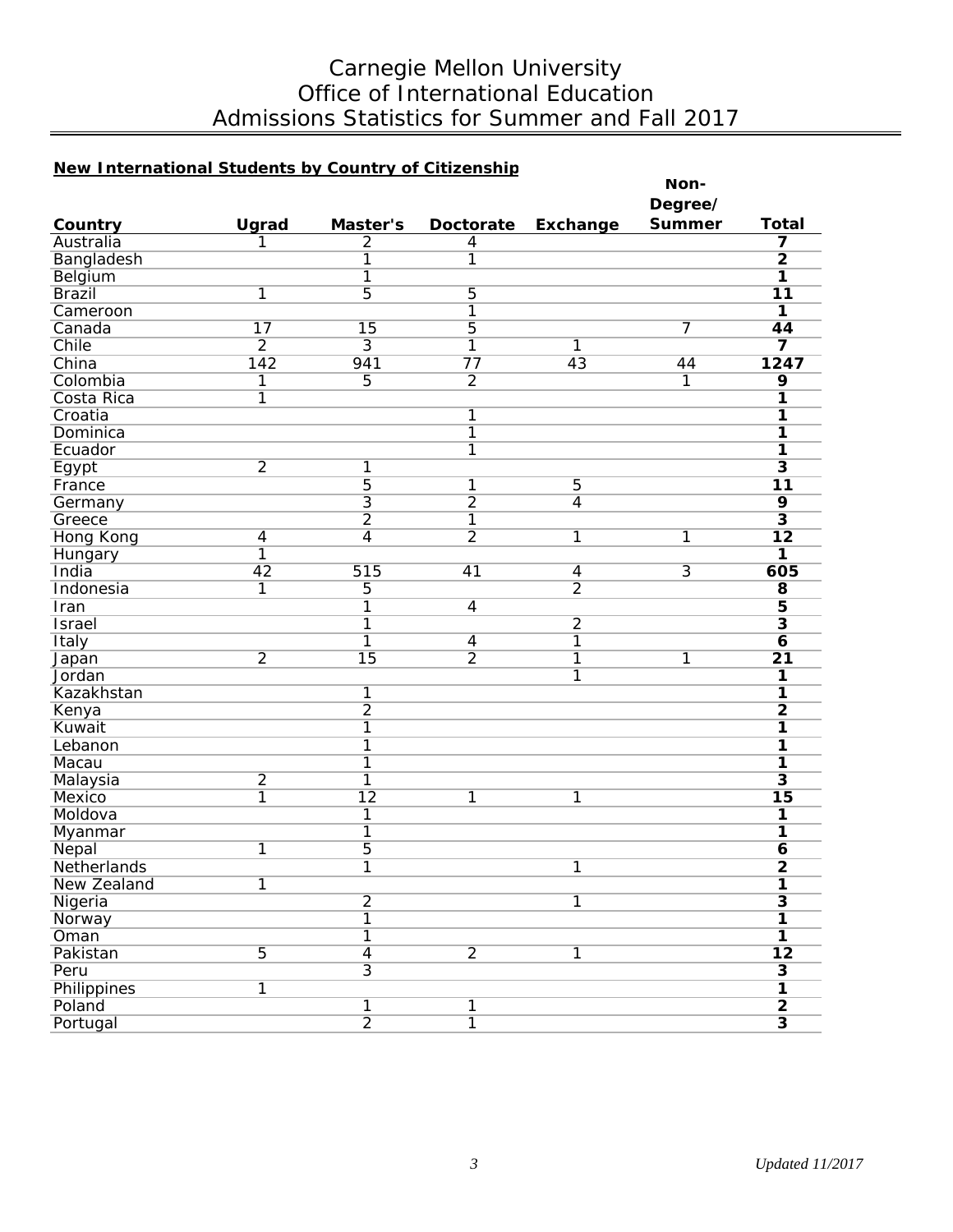# Carnegie Mellon University Office of International Education Admissions Statistics for Summer and Fall 2017

### **New International Students by Country of Citizenship**

| <u>New Triternational Students by Country of Citizenship</u> |                 |                         |                 |                 | Non-           |                         |
|--------------------------------------------------------------|-----------------|-------------------------|-----------------|-----------------|----------------|-------------------------|
|                                                              |                 |                         |                 |                 | Degree/        |                         |
| Country                                                      | Ugrad           | Master's                | Doctorate       | Exchange        | Summer         | <b>Total</b>            |
| Australia                                                    |                 | $\overline{2}$          | $\overline{4}$  |                 |                | 7                       |
| Bangladesh                                                   |                 | $\overline{1}$          | 1               |                 |                | $\overline{2}$          |
| Belgium                                                      |                 | 1                       |                 |                 |                | 1                       |
| <b>Brazil</b>                                                | $\overline{1}$  | 5                       | $\overline{5}$  |                 |                | 11                      |
| Cameroon                                                     |                 |                         | $\overline{1}$  |                 |                | $\overline{\mathbf{1}}$ |
| Canada                                                       | $\overline{17}$ | 15                      | $\overline{5}$  |                 | 7              | 44                      |
| Chile                                                        | $\overline{2}$  | $\overline{3}$          | $\overline{1}$  | 1               |                | $\overline{\mathbf{z}}$ |
| China                                                        | 142             | 941                     | $\overline{77}$ | $\overline{43}$ | 44             | 1247                    |
| Colombia                                                     | 1               | $\overline{5}$          | $\overline{2}$  |                 | 1              | $\overline{9}$          |
| Costa Rica                                                   | $\overline{1}$  |                         |                 |                 |                | 1                       |
| Croatia                                                      |                 |                         | 1               |                 |                | 1                       |
| Dominica                                                     |                 |                         | $\overline{1}$  |                 |                | 1                       |
| Ecuador                                                      |                 |                         | $\overline{1}$  |                 |                | $\overline{\mathbf{1}}$ |
| Egypt                                                        | $\overline{2}$  | 1                       |                 |                 |                | $\overline{\mathbf{3}}$ |
| France                                                       |                 | $\overline{5}$          | $\overline{1}$  | $\overline{5}$  |                | $\overline{11}$         |
| Germany                                                      |                 | $\overline{3}$          | $\overline{2}$  | $\overline{4}$  |                | $\overline{9}$          |
| Greece                                                       |                 | $\overline{2}$          | $\overline{1}$  |                 |                | $\overline{\mathbf{3}}$ |
| <b>Hong Kong</b>                                             | $\overline{4}$  | 4                       | $\overline{2}$  | 1               | 1              | $\overline{12}$         |
| Hungary                                                      | 1               |                         |                 |                 |                | 1                       |
| India                                                        | $\overline{42}$ | 515                     | 41              | $\overline{4}$  | $\overline{3}$ | 605                     |
| Indonesia                                                    | $\overline{1}$  | $\overline{5}$          |                 | $\overline{2}$  |                | $\overline{\mathbf{8}}$ |
| Iran                                                         |                 | $\overline{1}$          | $\overline{4}$  |                 |                | $\overline{\mathbf{5}}$ |
| <b>Israel</b>                                                |                 | $\overline{1}$          |                 | $\overline{2}$  |                | $\overline{\mathbf{3}}$ |
| <b>Italy</b>                                                 |                 | 1                       | $\overline{4}$  | 1               |                | $\overline{6}$          |
| Japan                                                        | $\overline{2}$  | $\overline{15}$         | $\overline{2}$  | 1               | 1              | $\overline{21}$         |
| Jordan                                                       |                 |                         |                 | 1               |                | 1                       |
| Kazakhstan                                                   |                 | 1                       |                 |                 |                | 1                       |
|                                                              |                 | $\overline{2}$          |                 |                 |                | $\overline{\mathbf{2}}$ |
| Kenya<br>Kuwait                                              |                 | $\overline{1}$          |                 |                 |                | $\overline{\mathbf{1}}$ |
| Lebanon                                                      |                 | $\overline{1}$          |                 |                 |                |                         |
|                                                              |                 |                         |                 |                 |                | 1                       |
| Macau                                                        |                 | $\overline{1}$          |                 |                 |                | 1                       |
| Malaysia                                                     | $\overline{2}$  | $\overline{1}$          |                 |                 |                | $\overline{\mathbf{3}}$ |
| Mexico                                                       | 1               | $\overline{12}$         | 1               | 1               |                | 15                      |
| Moldova                                                      |                 | $\overline{1}$          |                 |                 |                | 1                       |
| Myanmar                                                      |                 | $\overline{1}$          |                 |                 |                | 1                       |
| Nepal                                                        | 1               | $\overline{5}$          |                 |                 |                | $\overline{\mathbf{6}}$ |
| Netherlands                                                  |                 | 1                       |                 | 1               |                | $\overline{\mathbf{2}}$ |
| New Zealand                                                  | $\overline{1}$  |                         |                 |                 |                | 1                       |
| Nigeria                                                      |                 | $\overline{2}$          |                 | 1               |                | $\overline{\mathbf{3}}$ |
| Norway                                                       |                 | $\overline{1}$          |                 |                 |                | 1                       |
| Oman                                                         |                 | $\overline{\mathbb{1}}$ |                 |                 |                | 1                       |
| Pakistan                                                     | $\overline{5}$  | $\overline{4}$          | $\overline{2}$  | 1               |                | $\overline{12}$         |
| Peru                                                         |                 | $\overline{3}$          |                 |                 |                | $\overline{\mathbf{3}}$ |
| Philippines                                                  | $\overline{1}$  |                         |                 |                 |                | $\overline{\mathbf{1}}$ |
| Poland                                                       |                 | 1                       | 1               |                 |                | $\overline{2}$          |
| Portugal                                                     |                 | $\overline{2}$          | $\overline{1}$  |                 |                | $\overline{\mathbf{3}}$ |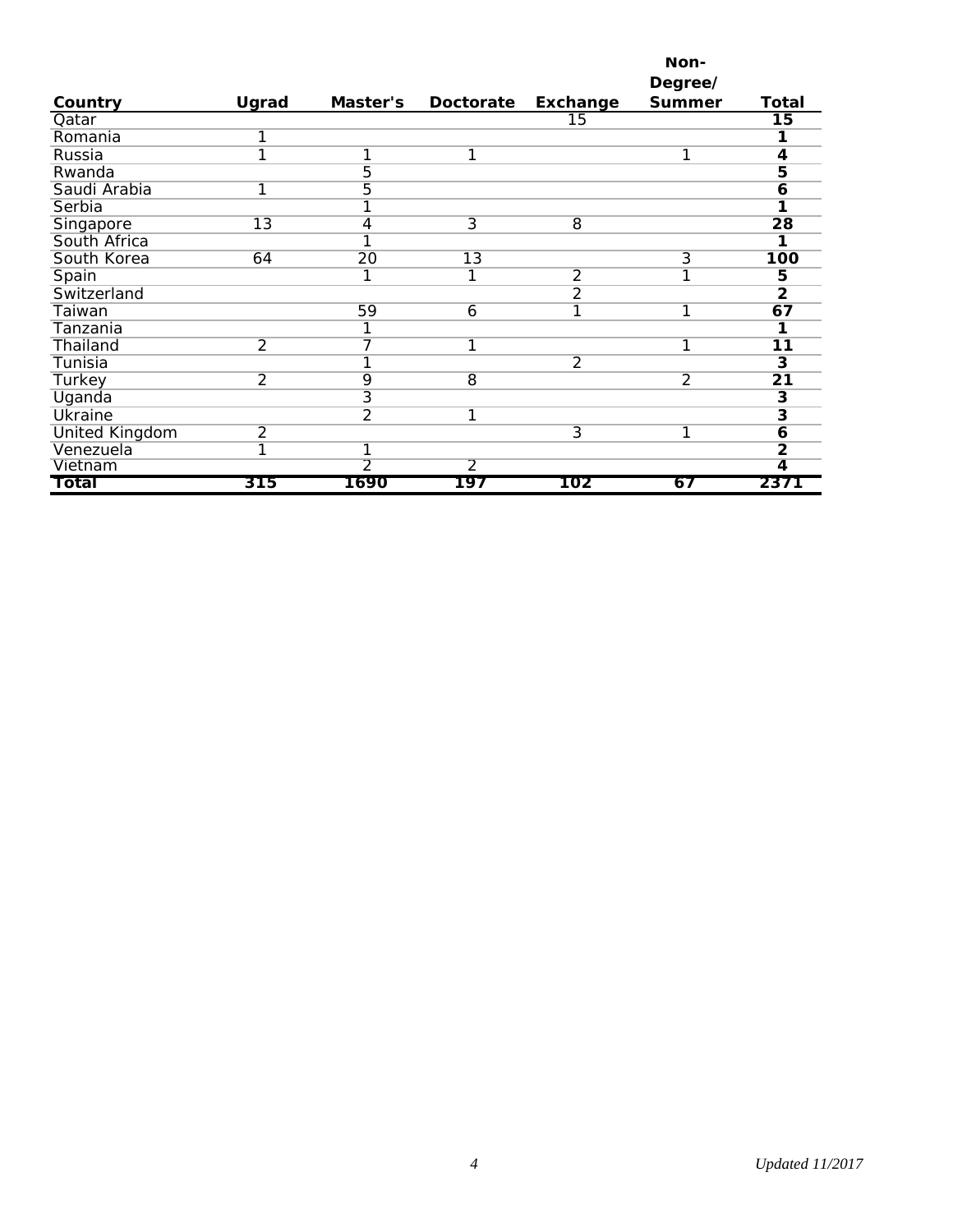|                       |                 |                 |                 |                | Non-           |                         |
|-----------------------|-----------------|-----------------|-----------------|----------------|----------------|-------------------------|
|                       |                 |                 |                 |                | Degree/        |                         |
| Country               | Ugrad           | Master's        | Doctorate       | Exchange       | <b>Summer</b>  | Total                   |
| Qatar                 |                 |                 |                 | 15             |                | 15                      |
| Romania               | 1               |                 |                 |                |                |                         |
| Russia                | 1               | 1               | 1               |                | 1              | 4                       |
| Rwanda                |                 | $\overline{5}$  |                 |                |                | 5                       |
| Saudi Arabia          | 1               | $\overline{5}$  |                 |                |                | 6                       |
| Serbia                |                 | 1               |                 |                |                |                         |
| Singapore             | $\overline{13}$ | 4               | $\overline{3}$  | $\overline{8}$ |                | 28                      |
| South Africa          |                 | 1               |                 |                |                |                         |
| South Korea           | 64              | $\overline{20}$ | $\overline{13}$ |                | $\overline{3}$ | 100                     |
| Spain                 |                 | 1               | 1               | $\overline{2}$ | 1              | 5                       |
| Switzerland           |                 |                 |                 | $\overline{2}$ |                | $\overline{2}$          |
| Taiwan                |                 | 59              | 6               | 1              | 1              | 67                      |
| Tanzania              |                 |                 |                 |                |                |                         |
| Thailand              | $\overline{2}$  | 7               |                 |                | 1              | 11                      |
| Tunisia               |                 | 1               |                 | $\overline{2}$ |                | $\overline{\mathbf{3}}$ |
| <b>Turkey</b>         | $\overline{2}$  | 9               | $\overline{8}$  |                | $\overline{2}$ | $\overline{21}$         |
| Uganda                |                 | $\overline{3}$  |                 |                |                | $\overline{\mathbf{3}}$ |
| <b>Ukraine</b>        |                 | $\overline{2}$  | 1               |                |                | $\overline{\mathbf{3}}$ |
| <b>United Kingdom</b> | $\overline{2}$  |                 |                 | 3              | 1              | 6                       |
| Venezuela             | 1               | 1               |                 |                |                | $\overline{2}$          |
| Vietnam               |                 | $\overline{2}$  | $\overline{2}$  |                |                | 4                       |
| Total                 | 315             | 1690            | 197             | 102            | 67             | 2371                    |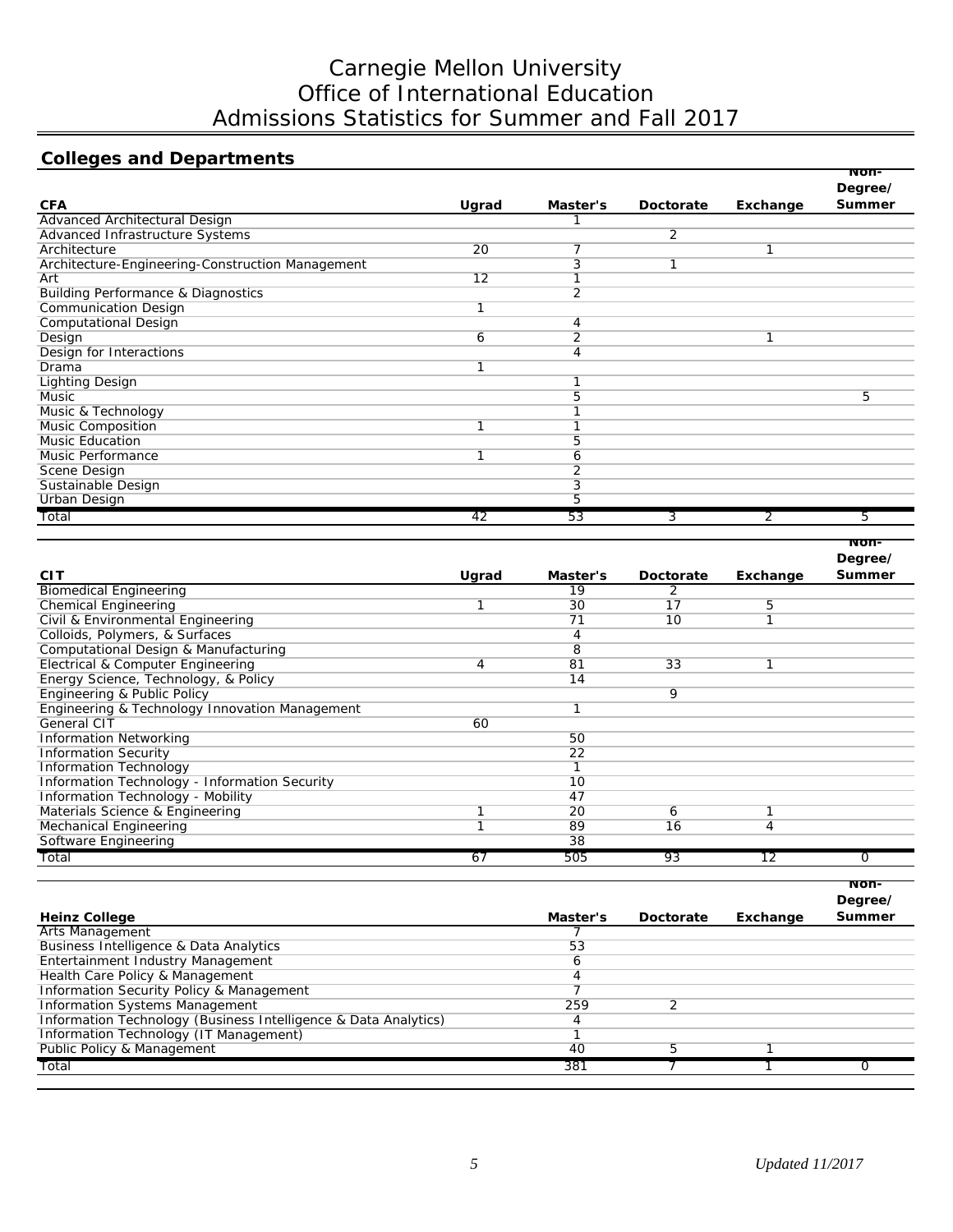# Carnegie Mellon University Office of International Education Admissions Statistics for Summer and Fall 2017

# **Colleges and Departments**

|                                                  |                 |          |                |          | Non-<br>Degree/ |
|--------------------------------------------------|-----------------|----------|----------------|----------|-----------------|
| <b>CFA</b>                                       | Ugrad           | Master's | Doctorate      | Exchange | <b>Summer</b>   |
| Advanced Architectural Design                    |                 |          |                |          |                 |
| Advanced Infrastructure Systems                  |                 |          | $\overline{2}$ |          |                 |
| Architecture                                     | $\overline{20}$ | 7        |                |          |                 |
| Architecture-Engineering-Construction Management |                 | 3        |                |          |                 |
| Art                                              | 12              |          |                |          |                 |
| <b>Building Performance &amp; Diagnostics</b>    |                 | 2        |                |          |                 |
| <b>Communication Design</b>                      |                 |          |                |          |                 |
| <b>Computational Design</b>                      |                 | 4        |                |          |                 |
| Design                                           | 6               | 2        |                |          |                 |
| Design for Interactions                          |                 | 4        |                |          |                 |
| Drama                                            |                 |          |                |          |                 |
| <b>Lighting Design</b>                           |                 |          |                |          |                 |
| Music                                            |                 | 5        |                |          | 5               |
| Music & Technology                               |                 |          |                |          |                 |
| <b>Music Composition</b>                         |                 |          |                |          |                 |
| <b>Music Education</b>                           |                 | 5        |                |          |                 |
| Music Performance                                |                 | 6        |                |          |                 |
| Scene Design                                     |                 | 2        |                |          |                 |
| Sustainable Design                               |                 | 3        |                |          |                 |
| <b>Urban Design</b>                              |                 | 5        |                |          |                 |
| Total                                            | 42              | 53       | 3              | 2        | 5               |

|                                                |       |          |           |          | Degree/       |
|------------------------------------------------|-------|----------|-----------|----------|---------------|
| <b>CIT</b>                                     | Ugrad | Master's | Doctorate | Exchange | <b>Summer</b> |
| <b>Biomedical Engineering</b>                  |       | 19       | 2         |          |               |
| <b>Chemical Engineering</b>                    |       | 30       | 17        | 5        |               |
| Civil & Environmental Engineering              |       | 71       | 10        |          |               |
| Colloids, Polymers, & Surfaces                 |       | 4        |           |          |               |
| Computational Design & Manufacturing           |       | 8        |           |          |               |
| Electrical & Computer Engineering              | 4     | 81       | 33        |          |               |
| Energy Science, Technology, & Policy           |       | 14       |           |          |               |
| Engineering & Public Policy                    |       |          | 9         |          |               |
| Engineering & Technology Innovation Management |       |          |           |          |               |
| <b>General CIT</b>                             | 60    |          |           |          |               |
| <b>Information Networking</b>                  |       | 50       |           |          |               |
| <b>Information Security</b>                    |       | 22       |           |          |               |
| <b>Information Technology</b>                  |       | 1        |           |          |               |
| Information Technology - Information Security  |       | 10       |           |          |               |
| Information Technology - Mobility              |       | 47       |           |          |               |
| Materials Science & Engineering                |       | 20       | 6         |          |               |
| Mechanical Engineering                         |       | 89       | 16        | 4        |               |
| Software Engineering                           |       | 38       |           |          |               |
| Total                                          | 67    | 505      | 93        | 12       |               |

|          |           |          | won-          |
|----------|-----------|----------|---------------|
|          |           |          | Degree/       |
| Master's | Doctorate | Exchange | <b>Summer</b> |
|          |           |          |               |
| 53       |           |          |               |
| 6        |           |          |               |
|          |           |          |               |
|          |           |          |               |
| 259      |           |          |               |
|          |           |          |               |
|          |           |          |               |
| 40       | 5         |          |               |
| 381      |           |          |               |
|          |           |          |               |

**Non-**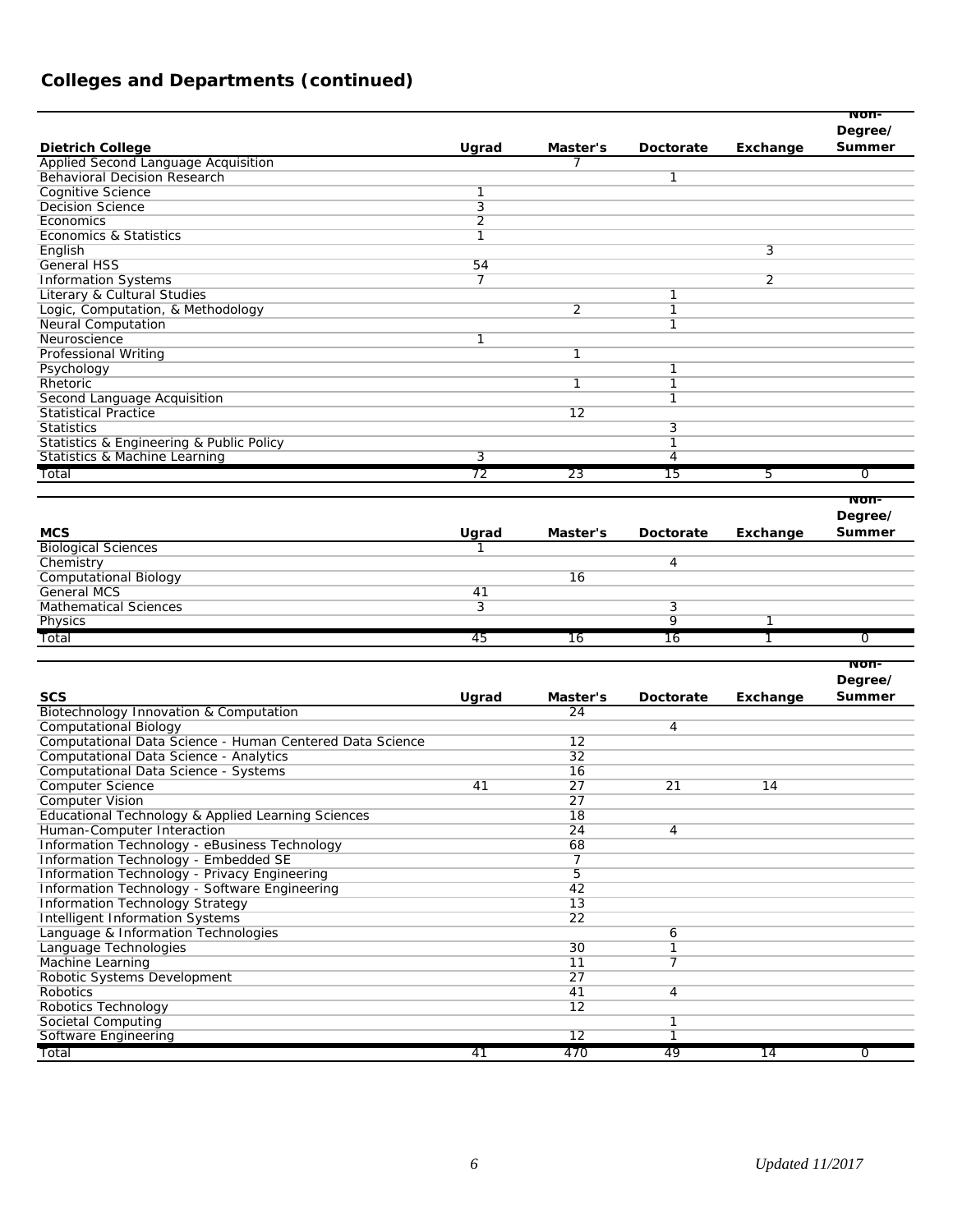# **Colleges and Departments (continued)**

|                                                          |                |                          |                |                | Non-          |
|----------------------------------------------------------|----------------|--------------------------|----------------|----------------|---------------|
|                                                          |                |                          |                |                | Degree/       |
| <b>Dietrich College</b>                                  | Ugrad          | Master's                 | Doctorate      | Exchange       | Summer        |
| Applied Second Language Acquisition                      |                | 7                        |                |                |               |
| <b>Behavioral Decision Research</b>                      |                |                          | 1              |                |               |
| <b>Cognitive Science</b>                                 | 1              |                          |                |                |               |
| <b>Decision Science</b>                                  | 3              |                          |                |                |               |
| Economics                                                | $\overline{2}$ |                          |                |                |               |
| Economics & Statistics                                   | 1              |                          |                |                |               |
| English                                                  |                |                          |                | 3              |               |
| <b>General HSS</b>                                       | 54             |                          |                |                |               |
| <b>Information Systems</b>                               | 7              |                          |                | $\overline{2}$ |               |
| Literary & Cultural Studies                              |                |                          | 1              |                |               |
| Logic, Computation, & Methodology                        |                | $\overline{2}$           | 1              |                |               |
| <b>Neural Computation</b>                                |                |                          | 1              |                |               |
| Neuroscience                                             | 1              |                          |                |                |               |
| Professional Writing                                     |                | 1                        |                |                |               |
| Psychology                                               |                |                          | 1              |                |               |
| Rhetoric                                                 |                | $\overline{1}$           | 1              |                |               |
| <b>Second Language Acquisition</b>                       |                |                          | 1              |                |               |
| <b>Statistical Practice</b>                              |                | 12                       |                |                |               |
| <b>Statistics</b>                                        |                |                          | 3              |                |               |
| Statistics & Engineering & Public Policy                 |                |                          | 1              |                |               |
| Statistics & Machine Learning                            | 3              |                          | 4              |                |               |
| Total                                                    | 72             | 23                       | 15             | 5              | 0             |
|                                                          |                |                          |                |                | Non-          |
|                                                          |                |                          |                |                | Degree/       |
|                                                          |                |                          |                |                | Summer        |
| <b>MCS</b>                                               | Ugrad          | Master's                 | Doctorate      | Exchange       |               |
| <b>Biological Sciences</b>                               |                |                          |                |                |               |
| Chemistry                                                |                | 16                       | 4              |                |               |
| <b>Computational Biology</b><br><b>General MCS</b>       |                |                          |                |                |               |
|                                                          | 41             |                          |                |                |               |
| <b>Mathematical Sciences</b>                             | 3              |                          | 3<br>9         | $\overline{1}$ |               |
| Physics                                                  |                |                          |                |                |               |
| Total                                                    | 45             | 16                       | 16             | 1              | 0             |
|                                                          |                |                          |                |                | Non-          |
|                                                          |                |                          |                |                | Degree/       |
| <b>SCS</b>                                               | Ugrad          | Master's                 | Doctorate      | Exchange       | <b>Summer</b> |
| Biotechnology Innovation & Computation                   |                | 24                       |                |                |               |
| <b>Computational Biology</b>                             |                |                          | 4              |                |               |
| Computational Data Science - Human Centered Data Science |                | 12                       |                |                |               |
| Computational Data Science - Analytics                   |                | 32                       |                |                |               |
| Computational Data Science - Systems                     |                | 16                       |                |                |               |
| <b>Computer Science</b>                                  | 41             | 27                       | 21             | 14             |               |
| <b>Computer Vision</b>                                   |                | 27                       |                |                |               |
| Educational Technology & Applied Learning Sciences       |                | 18                       |                |                |               |
| Human-Computer Interaction                               |                | 24                       | 4              |                |               |
| Information Technology - eBusiness Technology            |                | 68                       |                |                |               |
| Information Technology - Embedded SE                     |                | $\overline{\phantom{a}}$ |                |                |               |
| Information Technology - Privacy Engineering             |                | $\overline{5}$           |                |                |               |
| Information Technology - Software Engineering            |                | 42                       |                |                |               |
| Information Technology Strategy                          |                | 13                       |                |                |               |
| Intelligent Information Systems                          |                | 22                       |                |                |               |
| Language & Information Technologies                      |                |                          | 6              |                |               |
| Language Technologies                                    |                | 30                       | $\overline{1}$ |                |               |
| Machine Learning                                         |                | 11                       | 7              |                |               |
| Robotic Systems Development                              |                | 27                       |                |                |               |
| Robotics                                                 |                | 41                       | $\overline{4}$ |                |               |

*Total 41 470 49 14 0*

Robotics Technology 12

Societal Computing 1 Software Engineering 12 1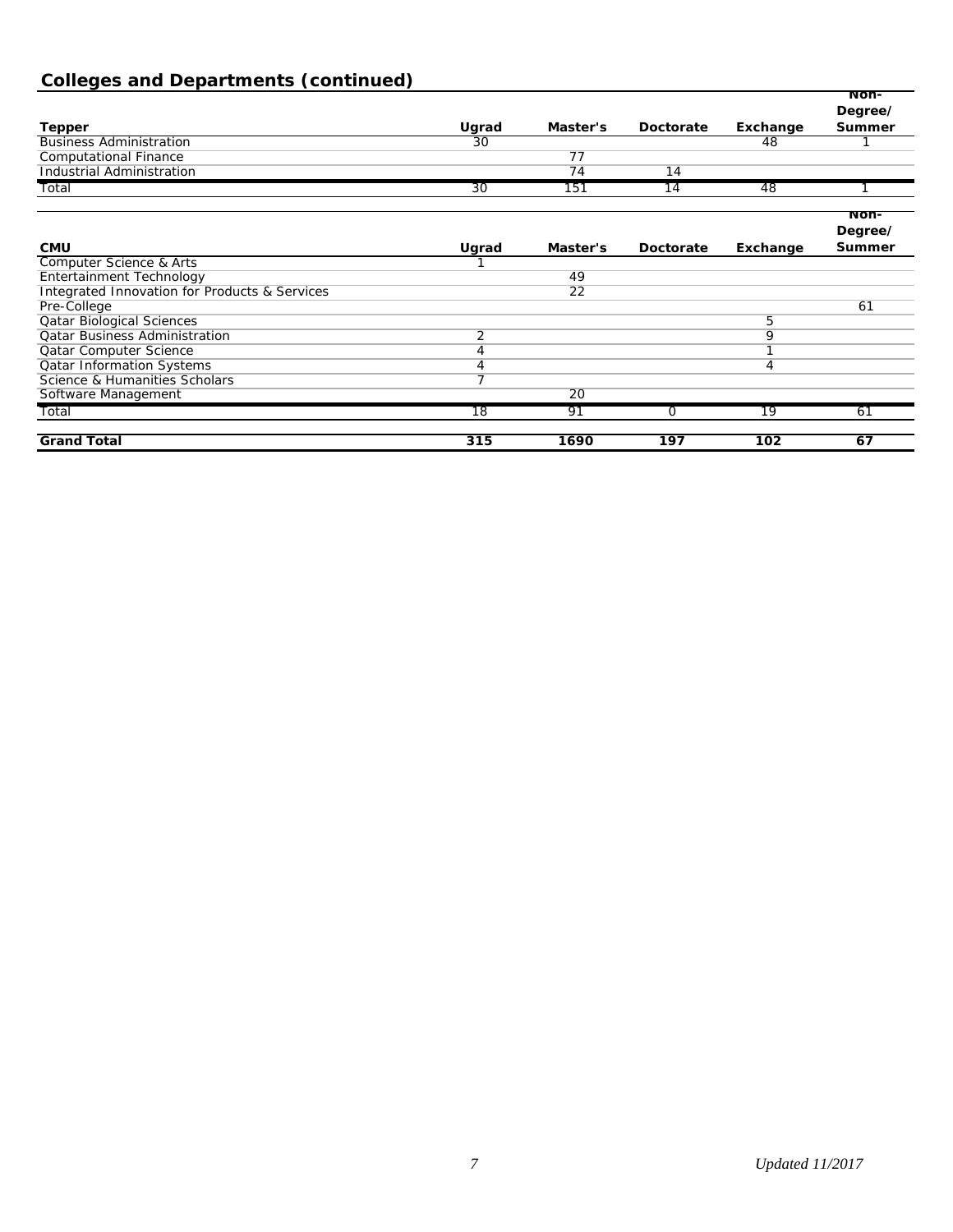# **Colleges and Departments (continued)**

|                                                          |                 |                 |           |                 | Non-            |
|----------------------------------------------------------|-----------------|-----------------|-----------|-----------------|-----------------|
|                                                          |                 |                 |           |                 | Degree/         |
| <b>Tepper</b>                                            | Ugrad           | Master's        | Doctorate | Exchange        | Summer          |
| <b>Business Administration</b>                           | 30              |                 |           | 48              |                 |
| <b>Computational Finance</b>                             |                 | 77              |           |                 |                 |
| <b>Industrial Administration</b>                         |                 | 74              | 14        |                 |                 |
| Total                                                    | 30              | 151             | 14        | 48              |                 |
|                                                          |                 |                 |           |                 | Non-<br>Degree/ |
| <b>CMU</b>                                               | Ugrad           | Master's        | Doctorate | Exchange        | Summer          |
| <b>Computer Science &amp; Arts</b>                       |                 |                 |           |                 |                 |
| Entertainment Technology                                 |                 | 49              |           |                 |                 |
| <b>Integrated Innovation for Products &amp; Services</b> |                 | $\overline{22}$ |           |                 |                 |
| Pre-College                                              |                 |                 |           |                 | 61              |
| <b>Qatar Biological Sciences</b>                         |                 |                 |           | 5               |                 |
| <b>Qatar Business Administration</b>                     | $\overline{2}$  |                 |           | 9               |                 |
| <b>Qatar Computer Science</b>                            | 4               |                 |           | 1               |                 |
| <b>Qatar Information Systems</b>                         | 4               |                 |           | 4               |                 |
| Science & Humanities Scholars                            | 7               |                 |           |                 |                 |
| Software Management                                      |                 | 20              |           |                 |                 |
| Total                                                    | $\overline{18}$ | 91              | 0         | $\overline{19}$ | 61              |
| <b>Grand Total</b>                                       | 315             | 1690            | 197       | 102             | 67              |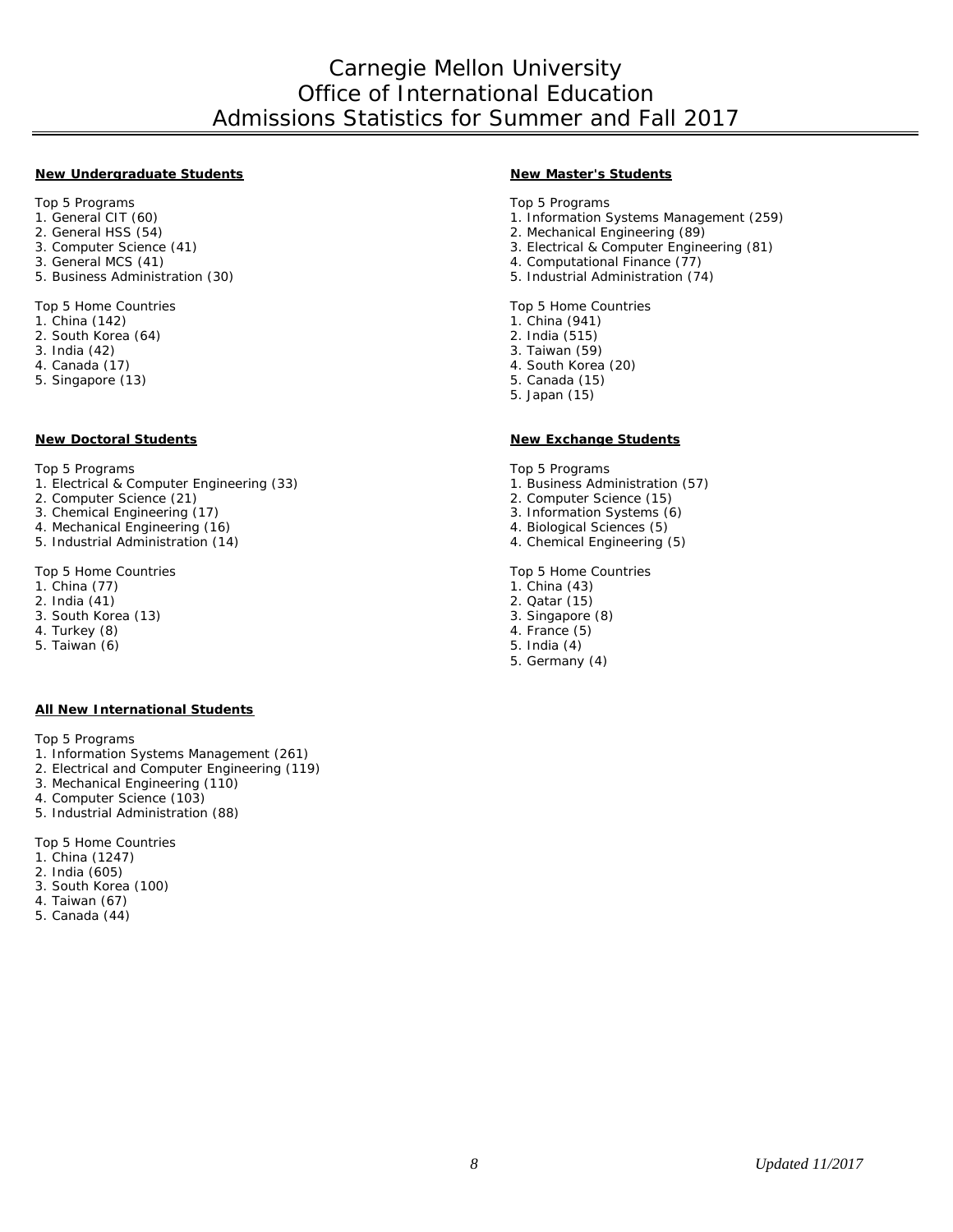#### **New Undergraduate Students New Master's Students**

Top 5 Programs Top 5 Programs

- 
- 
- 
- 3. General MCS (41)<br>5. Business Administration (30) 4. Computational Finance (77)<br>5. Industrial Administration (7.

- 1. China (142)
- 2. South Korea (64) 2. India (515)
- 3. India (42) 3. Taiwan (59)
- 
- 5. Singapore (13) 5. Canada (15)

Top 5 Programs Top 5 Programs Top 5 Programs Top 5 Programs Top 5 Programs

1. Electrical & Computer Engineering (33) 1. Business Administration (57)<br>2. Computer Science (21) 2. Computer Science (15)

- 
- 3. Chemical Engineering (17) <br>
4. Mechanical Engineering (16) <br>
3. Information Systems (6) <br>
3. Information Systems (6)
- 4. Mechanical Engineering (16) <br>5. Industrial Administration (14) <br>5. Industrial Administration (14) <br>4. Chemical Engineering (5)
- 5. Industrial Administration (14).

Top 5 Home Countries Top 5 Home Countries

- 
- 
- 2. India (41) 2. Catar (15) 2. Qatar (15) 2. Qatar (15) 2. Qatar (15) 2. Qatar (15) 2. Qatar (15) 2. Qatar (15) 3. South Korea (13)
- 4. Turkey (8) 4. France (5)
- 5. Taiwan (6) 5. India (4)

#### **All New International Students**

Top 5 Programs

- 1. Information Systems Management (261)
- 2. Electrical and Computer Engineering (119)
- 3. Mechanical Engineering (110)
- 4. Computer Science (103)
- 5. Industrial Administration (88)

Top 5 Home Countries

- 1. China (1247)
- 2. India (605)
- 3. South Korea (100)
- 4. Taiwan (67)
- 5. Canada (44)

- 1. General CIT (60) 1. Information Systems Management (259)
- 2. General HSS (54) 2. Mechanical Engineering (89)
	- 3. Electrical & Computer Engineering (81)
	-
	- 5. Industrial Administration (74)

Top 5 Home Countries **Top 5 Home Countries**<br>
1. China (142) 1. China (941)

- 
- 
- 
- 4. South Korea (20)
- 
- 5. Japan (15)

#### **New Doctoral Students New Exchange Students**

- 
- 2. Computer Science (15)
- 
- 
- 

- 1. China (77) 1. China (43)
	-
	-
	-
	-
	- 5. Germany (4)